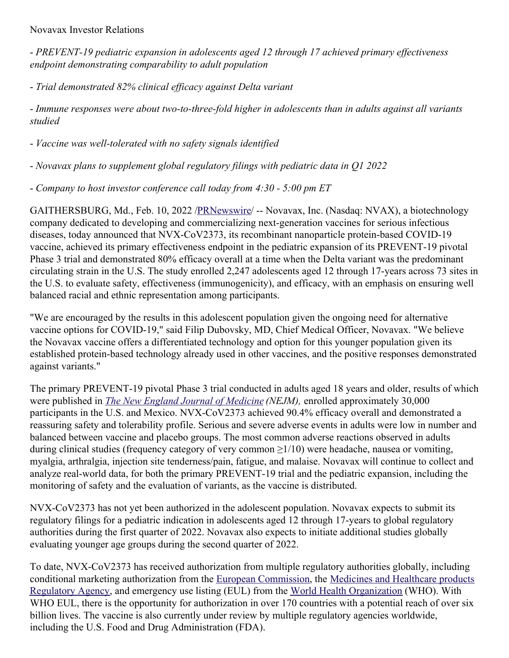#### Novavax Investor Relations

- *PREVENT-19 pediatric expansion in adolescents aged 12 through 17 achieved primary ef ectiveness endpoint demonstrating comparability to adult population*

- *Trial demonstrated 82% clinical ef icacy against Delta variant*

- *Immune responses were about two-to-three-fold higher in adolescents than in adults against all variants studied*

- *Vaccine was well-tolerated with no safety signals identified*

- *Novavax plans to supplement global regulatory filings with pediatric data in Q1 2022*

- *Company to host investor conference call today from 4:30 - 5:00 pm ET*

GAITHERSBURG, Md., Feb. 10, 2022 [/PRNewswire](http://www.prnewswire.com/)/ -- Novavax, Inc. (Nasdaq: NVAX), a biotechnology company dedicated to developing and commercializing next-generation vaccines for serious infectious diseases, today announced that NVX-CoV2373, its recombinant nanoparticle protein-based COVID-19 vaccine, achieved its primary effectiveness endpoint in the pediatric expansion of its PREVENT-19 pivotal Phase 3 trial and demonstrated 80% efficacy overall at a time when the Delta variant was the predominant circulating strain in the U.S. The study enrolled 2,247 adolescents aged 12 through 17-years across 73 sites in the U.S. to evaluate safety, effectiveness (immunogenicity), and efficacy, with an emphasis on ensuring well balanced racial and ethnic representation among participants.

"We are encouraged by the results in this adolescent population given the ongoing need for alternative vaccine options for COVID-19," said Filip Dubovsky, MD, Chief Medical Officer, Novavax. "We believe the Novavax vaccine offers a differentiated technology and option for this younger population given its established protein-based technology already used in other vaccines, and the positive responses demonstrated against variants."

The primary PREVENT-19 pivotal Phase 3 trial conducted in adults aged 18 years and older, results of which were published in *The New England Journal of [Medicine](https://c212.net/c/link/?t=0&l=en&o=3440781-1&h=2201495428&u=https%3A%2F%2Fc212.net%2Fc%2Flink%2F%3Ft%3D0%26l%3Den%26o%3D3395363-1%26h%3D1255159614%26u%3Dhttps%253A%252F%252Fwww.nejm.org%252Fdoi%252Ffull%252F10.1056%252FNEJMoa2116185%253Fquery%253Dfeatured_home%26a%3DThe%2BNew%2BEngland%2BJournal%2Bof%2BMedicine&a=The+New+England+Journal+of+Medicine) (NEJM),* enrolled approximately 30,000 participants in the U.S. and Mexico. NVX-CoV2373 achieved 90.4% efficacy overall and demonstrated a reassuring safety and tolerability profile. Serious and severe adverse events in adults were low in number and balanced between vaccine and placebo groups. The most common adverse reactions observed in adults during clinical studies (frequency category of very common ≥1/10) were headache, nausea or vomiting, myalgia, arthralgia, injection site tenderness/pain, fatigue, and malaise. Novavax will continue to collect and analyze real-world data, for both the primary PREVENT-19 trial and the pediatric expansion, including the monitoring of safety and the evaluation of variants, as the vaccine is distributed.

NVX-CoV2373 has not yet been authorized in the adolescent population. Novavax expects to submit its regulatory filings for a pediatric indication in adolescents aged 12 through 17-years to global regulatory authorities during the first quarter of 2022. Novavax also expects to initiate additional studies globally evaluating younger age groups during the second quarter of 2022.

To date, NVX-CoV2373 has received authorization from multiple regulatory authorities globally, including conditional marketing authorization from the European [Commission,](https://c212.net/c/link/?t=0&l=en&o=3440781-1&h=2438596594&u=https%3A%2F%2Fir.novavax.com%2F2022-02-03-Medicines-and-Healthcare-Products-Regulatory-Agency-Grants-Conditional-Marketing-Authorization-for-Novavax-COVID-19-Vaccine-in-Great-Britain&a=Medicines+and+Healthcare+products+Regulatory+Agency) the Medicines and Healthcare products Regulatory Agency, and emergency use listing (EUL) from the World Health [Organization](https://c212.net/c/link/?t=0&l=en&o=3440781-1&h=757336834&u=https%3A%2F%2Fc212.net%2Fc%2Flink%2F%3Ft%3D0%26l%3Den%26o%3D3432645-1%26h%3D2742482411%26u%3Dhttps%253A%252F%252Fc212.net%252Fc%252Flink%252F%253Ft%253D0%2526l%253Den%2526o%253D3418278-1%2526h%253D3156131270%2526u%253Dhttps%25253A%25252F%25252Fir.novavax.com%25252F2021-12-20-World-Health-Organization-Grants-Second-Emergency-Use-Listing-for-Novavax-COVID-19-Vaccine%2526a%253DWorld%252BHealth%252BOrganization%26a%3DWorld%2BHealth%2BOrganization&a=World+Health+Organization) (WHO). With WHO EUL, there is the opportunity for authorization in over 170 countries with a potential reach of over six billion lives. The vaccine is also currently under review by multiple regulatory agencies worldwide, including the U.S. Food and Drug Administration (FDA).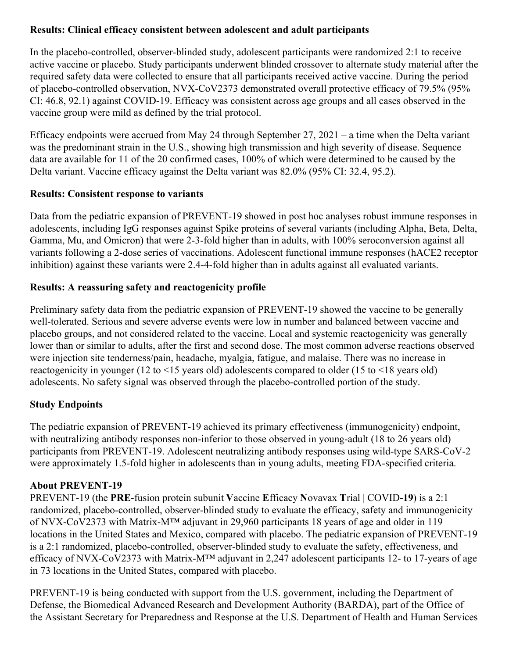### **Results: Clinical efficacy consistent between adolescent and adult participants**

In the placebo-controlled, observer-blinded study, adolescent participants were randomized 2:1 to receive active vaccine or placebo. Study participants underwent blinded crossover to alternate study material after the required safety data were collected to ensure that all participants received active vaccine. During the period of placebo-controlled observation, NVX-CoV2373 demonstrated overall protective efficacy of 79.5% (95% CI: 46.8, 92.1) against COVID-19. Efficacy was consistent across age groups and all cases observed in the vaccine group were mild as defined by the trial protocol.

Efficacy endpoints were accrued from May 24 through September 27, 2021 – a time when the Delta variant was the predominant strain in the U.S., showing high transmission and high severity of disease. Sequence data are available for 11 of the 20 confirmed cases, 100% of which were determined to be caused by the Delta variant. Vaccine efficacy against the Delta variant was 82.0% (95% CI: 32.4, 95.2).

### **Results: Consistent response to variants**

Data from the pediatric expansion of PREVENT-19 showed in post hoc analyses robust immune responses in adolescents, including IgG responses against Spike proteins of several variants (including Alpha, Beta, Delta, Gamma, Mu, and Omicron) that were 2-3-fold higher than in adults, with 100% seroconversion against all variants following a 2-dose series of vaccinations. Adolescent functional immune responses (hACE2 receptor inhibition) against these variants were 2.4-4-fold higher than in adults against all evaluated variants.

# **Results: A reassuring safety and reactogenicity profile**

Preliminary safety data from the pediatric expansion of PREVENT-19 showed the vaccine to be generally well-tolerated. Serious and severe adverse events were low in number and balanced between vaccine and placebo groups, and not considered related to the vaccine. Local and systemic reactogenicity was generally lower than or similar to adults, after the first and second dose. The most common adverse reactions observed were injection site tenderness/pain, headache, myalgia, fatigue, and malaise. There was no increase in reactogenicity in younger (12 to <15 years old) adolescents compared to older (15 to <18 years old) adolescents. No safety signal was observed through the placebo-controlled portion of the study.

### **Study Endpoints**

The pediatric expansion of PREVENT-19 achieved its primary effectiveness (immunogenicity) endpoint, with neutralizing antibody responses non-inferior to those observed in young-adult (18 to 26 years old) participants from PREVENT-19. Adolescent neutralizing antibody responses using wild-type SARS-CoV-2 were approximately 1.5-fold higher in adolescents than in young adults, meeting FDA-specified criteria.

### **About PREVENT-19**

PREVENT-19 (the **PRE**-fusion protein subunit **V**accine **E**fficacy **N**ovavax **T**rial | COVID**-19**) is a 2:1 randomized, placebo-controlled, observer-blinded study to evaluate the efficacy, safety and immunogenicity of NVX-CoV2373 with Matrix-M™ adjuvant in 29,960 participants 18 years of age and older in 119 locations in the United States and Mexico, compared with placebo. The pediatric expansion of PREVENT-19 is a 2:1 randomized, placebo-controlled, observer-blinded study to evaluate the safety, effectiveness, and efficacy of NVX-CoV2373 with Matrix-M™ adjuvant in 2,247 adolescent participants 12- to 17-years of age in 73 locations in the United States, compared with placebo.

PREVENT-19 is being conducted with support from the U.S. government, including the Department of Defense, the Biomedical Advanced Research and Development Authority (BARDA), part of the Office of the Assistant Secretary for Preparedness and Response at the U.S. Department of Health and Human Services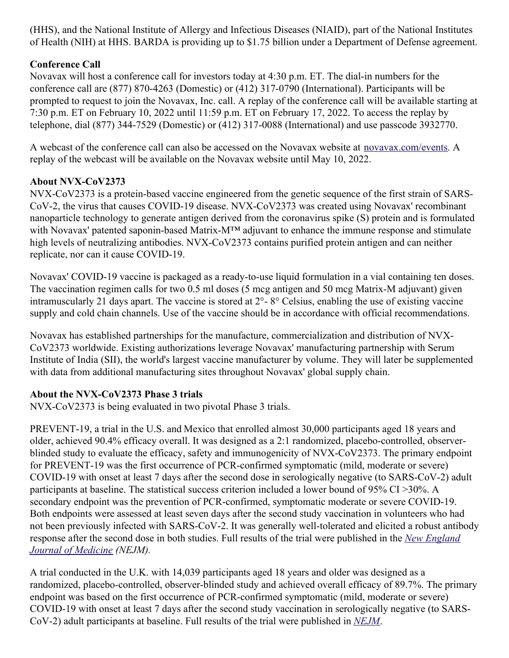(HHS), and the National Institute of Allergy and Infectious Diseases (NIAID), part of the National Institutes of Health (NIH) at HHS. BARDA is providing up to \$1.75 billion under a Department of Defense agreement.

# **Conference Call**

Novavax will host a conference call for investors today at 4:30 p.m. ET. The dial-in numbers for the conference call are (877) 870-4263 (Domestic) or (412) 317-0790 (International). Participants will be prompted to request to join the Novavax, Inc. call. A replay of the conference call will be available starting at 7:30 p.m. ET on February 10, 2022 until 11:59 p.m. ET on February 17, 2022. To access the replay by telephone, dial (877) 344-7529 (Domestic) or (412) 317-0088 (International) and use passcode 3932770.

A webcast of the conference call can also be accessed on the Novavax website at [novavax.com/events](https://c212.net/c/link/?t=0&l=en&o=3440781-1&h=1829805745&u=https%3A%2F%2Fc212.net%2Fc%2Flink%2F%3Ft%3D0%26l%3Den%26o%3D3398108-1%26h%3D1075217627%26u%3Dhttps%253A%252F%252Fprotect-us.mimecast.com%252Fs%252F0gHHC82A7pCjjZZvcwd3d-%253Fdomain%253Dnovavax.com%26a%3Dnovavax.com%252Fevents&a=novavax.com%2Fevents). A replay of the webcast will be available on the Novavax website until May 10, 2022.

### **About NVX-CoV2373**

NVX-CoV2373 is a protein-based vaccine engineered from the genetic sequence of the first strain of SARS-CoV-2, the virus that causes COVID-19 disease. NVX-CoV2373 was created using Novavax' recombinant nanoparticle technology to generate antigen derived from the coronavirus spike (S) protein and is formulated with Novavax' patented saponin-based Matrix-M™ adjuvant to enhance the immune response and stimulate high levels of neutralizing antibodies. NVX-CoV2373 contains purified protein antigen and can neither replicate, nor can it cause COVID-19.

Novavax' COVID-19 vaccine is packaged as a ready-to-use liquid formulation in a vial containing ten doses. The vaccination regimen calls for two 0.5 ml doses (5 mcg antigen and 50 mcg Matrix-M adjuvant) given intramuscularly 21 days apart. The vaccine is stored at 2°- 8° Celsius, enabling the use of existing vaccine supply and cold chain channels. Use of the vaccine should be in accordance with official recommendations.

Novavax has established partnerships for the manufacture, commercialization and distribution of NVX-CoV2373 worldwide. Existing authorizations leverage Novavax' manufacturing partnership with Serum Institute of India (SII), the world's largest vaccine manufacturer by volume. They will later be supplemented with data from additional manufacturing sites throughout Novavax' global supply chain.

# **About the NVX-CoV2373 Phase 3 trials**

NVX-CoV2373 is being evaluated in two pivotal Phase 3 trials.

PREVENT-19, a trial in the U.S. and Mexico that enrolled almost 30,000 participants aged 18 years and older, achieved 90.4% efficacy overall. It was designed as a 2:1 randomized, placebo-controlled, observerblinded study to evaluate the efficacy, safety and immunogenicity of NVX-CoV2373. The primary endpoint for PREVENT-19 was the first occurrence of PCR-confirmed symptomatic (mild, moderate or severe) COVID-19 with onset at least 7 days after the second dose in serologically negative (to SARS-CoV-2) adult participants at baseline. The statistical success criterion included a lower bound of 95% CI >30%. A secondary endpoint was the prevention of PCR-confirmed, symptomatic moderate or severe COVID-19. Both endpoints were assessed at least seven days after the second study vaccination in volunteers who had not been previously infected with SARS-CoV-2. It was generally well-tolerated and elicited a robust antibody response after the second dose in both studies. Full results of the trial were [published](https://c212.net/c/link/?t=0&l=en&o=3440781-1&h=467849857&u=https%3A%2F%2Fwww.nejm.org%2Fdoi%2Ffull%2F10.1056%2FNEJMoa2116185%3Fquery%3Dfeatured_home&a=New+England+Journal+of+Medicine) in the *New England Journal of Medicine (NEJM).*

A trial conducted in the U.K. with 14,039 participants aged 18 years and older was designed as a randomized, placebo-controlled, observer-blinded study and achieved overall efficacy of 89.7%. The primary endpoint was based on the first occurrence of PCR-confirmed symptomatic (mild, moderate or severe) COVID-19 with onset at least 7 days after the second study vaccination in serologically negative (to SARS-CoV-2) adult participants at baseline. Full results of the trial were published in *[NEJM](https://c212.net/c/link/?t=0&l=en&o=3440781-1&h=3617137863&u=https%3A%2F%2Fwww.nejm.org%2Fdoi%2Ffull%2F10.1056%2FNEJMoa2107659&a=NEJM)*.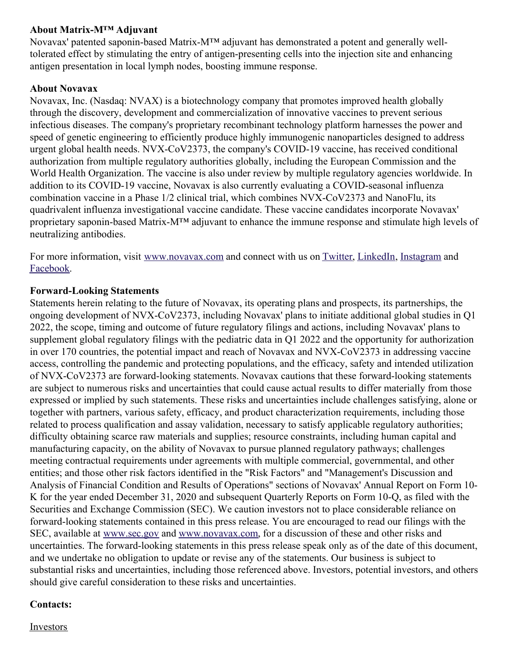#### **About Matrix-M™ Adjuvant**

Novavax' patented saponin-based Matrix-M™ adjuvant has demonstrated a potent and generally welltolerated effect by stimulating the entry of antigen-presenting cells into the injection site and enhancing antigen presentation in local lymph nodes, boosting immune response.

#### **About Novavax**

Novavax, Inc. (Nasdaq: NVAX) is a biotechnology company that promotes improved health globally through the discovery, development and commercialization of innovative vaccines to prevent serious infectious diseases. The company's proprietary recombinant technology platform harnesses the power and speed of genetic engineering to efficiently produce highly immunogenic nanoparticles designed to address urgent global health needs. NVX-CoV2373, the company's COVID-19 vaccine, has received conditional authorization from multiple regulatory authorities globally, including the European Commission and the World Health Organization. The vaccine is also under review by multiple regulatory agencies worldwide. In addition to its COVID-19 vaccine, Novavax is also currently evaluating a COVID-seasonal influenza combination vaccine in a Phase 1/2 clinical trial, which combines NVX-CoV2373 and NanoFlu, its quadrivalent influenza investigational vaccine candidate. These vaccine candidates incorporate Novavax' proprietary saponin-based Matrix-M™ adjuvant to enhance the immune response and stimulate high levels of neutralizing antibodies.

For more information, visit [www.novavax.com](https://c212.net/c/link/?t=0&l=en&o=3440781-1&h=3964594936&u=https%3A%2F%2Fc212.net%2Fc%2Flink%2F%3Ft%3D0%26l%3Den%26o%3D3395501-1%26h%3D2463599076%26u%3Dhttps%253A%252F%252Fc212.net%252Fc%252Flink%252F%253Ft%253D0%2526l%253Den%2526o%253D3392093-1%2526h%253D203886192%2526u%253Dhttps%25253A%25252F%25252Fc212.net%25252Fc%25252Flink%25252F%25253Ft%25253D0%252526l%25253Den%252526o%25253D3387216-1%252526h%25253D3917401194%252526u%25253Dhttps%2525253A%2525252F%2525252Fc212.net%2525252Fc%2525252Flink%2525252F%2525253Ft%2525253D0%25252526l%2525253Den%25252526o%2525253D3260461-1%25252526h%2525253D2897486098%25252526u%2525253Dhttp%252525253A%252525252F%252525252Fwww.novavax.com%252525252F%25252526a%2525253Dwww.novavax.com%252526a%25253Dwww.novavax.com%2526a%253Dwww.novavax.com%26a%3Dwww.novavax.com&a=www.novavax.com) and connect with us on [Twitter](https://c212.net/c/link/?t=0&l=en&o=3440781-1&h=105479535&u=https%3A%2F%2Fc212.net%2Fc%2Flink%2F%3Ft%3D0%26l%3Den%26o%3D3395501-1%26h%3D4221703946%26u%3Dhttps%253A%252F%252Fc212.net%252Fc%252Flink%252F%253Ft%253D0%2526l%253Den%2526o%253D3392093-1%2526h%253D1222342448%2526u%253Dhttps%25253A%25252F%25252Fc212.net%25252Fc%25252Flink%25252F%25253Ft%25253D0%252526l%25253Den%252526o%25253D3387216-1%252526h%25253D3606837610%252526u%25253Dhttps%2525253A%2525252F%2525252Fc212.net%2525252Fc%2525252Flink%2525252F%2525253Ft%2525253D0%25252526l%2525253Den%25252526o%2525253D3260461-1%25252526h%2525253D1316526774%25252526u%2525253Dhttps%252525253A%252525252F%252525252Fc212.net%252525252Fc%252525252Flink%252525252F%252525253Ft%252525253D0%2525252526l%252525253Den%2525252526o%252525253D3158017-1%2525252526h%252525253D500821283%2525252526u%252525253Dhttps%25252525253A%25252525252F%25252525252Ftwitter.com%25252525252FNovavax%2525252526a%252525253DTwitter%25252526a%2525253DTwitter%252526a%25253DTwitter%2526a%253DTwitter%26a%3DTwitter&a=Twitter), [LinkedIn](https://c212.net/c/link/?t=0&l=en&o=3440781-1&h=2733326919&u=https%3A%2F%2Fc212.net%2Fc%2Flink%2F%3Ft%3D0%26l%3Den%26o%3D3395501-1%26h%3D853375093%26u%3Dhttps%253A%252F%252Fc212.net%252Fc%252Flink%252F%253Ft%253D0%2526l%253Den%2526o%253D3392093-1%2526h%253D1325598136%2526u%253Dhttps%25253A%25252F%25252Fc212.net%25252Fc%25252Flink%25252F%25253Ft%25253D0%252526l%25253Den%252526o%25253D3387216-1%252526h%25253D2935962557%252526u%25253Dhttps%2525253A%2525252F%2525252Fc212.net%2525252Fc%2525252Flink%2525252F%2525253Ft%2525253D0%25252526l%2525253Den%25252526o%2525253D3260461-1%25252526h%2525253D1508558197%25252526u%2525253Dhttps%252525253A%252525252F%252525252Fc212.net%252525252Fc%252525252Flink%252525252F%252525253Ft%252525253D0%2525252526l%252525253Den%2525252526o%252525253D3158017-1%2525252526h%252525253D3702938248%2525252526u%252525253Dhttps%25252525253A%25252525252F%25252525252Fwww.linkedin.com%25252525252Fcompany%25252525252Fnovavax%25252525252F%2525252526a%252525253DLinkedIn%25252526a%2525253DLinkedIn%252526a%25253DLinkedIn%2526a%253DLinkedIn%26a%3DLinkedIn&a=LinkedIn), [Instagram](https://c212.net/c/link/?t=0&l=en&o=3440781-1&h=1486889287&u=https%3A%2F%2Fc212.net%2Fc%2Flink%2F%3Ft%3D0%26l%3Den%26o%3D3395501-1%26h%3D3574403071%26u%3Dhttps%253A%252F%252Fc212.net%252Fc%252Flink%252F%253Ft%253D0%2526l%253Den%2526o%253D3392093-1%2526h%253D64626343%2526u%253Dhttps%25253A%25252F%25252Fc212.net%25252Fc%25252Flink%25252F%25253Ft%25253D0%252526l%25253Den%252526o%25253D3387216-1%252526h%25253D844488893%252526u%25253Dhttps%2525253A%2525252F%2525252Fc212.net%2525252Fc%2525252Flink%2525252F%2525253Ft%2525253D0%25252526l%2525253Den%25252526o%2525253D3367039-1%25252526h%2525253D3348182013%25252526u%2525253Dhttps%252525253A%252525252F%252525252Fwww.instagram.com%252525252Fnovavax%252525252F%25252526a%2525253DInstagram%252526a%25253DInstagram%2526a%253DInstagram%26a%3DInstagram&a=Instagram) and [Facebook](https://c212.net/c/link/?t=0&l=en&o=3440781-1&h=3738538262&u=https%3A%2F%2Fc212.net%2Fc%2Flink%2F%3Ft%3D0%26l%3Den%26o%3D3395501-1%26h%3D1061571609%26u%3Dhttps%253A%252F%252Fc212.net%252Fc%252Flink%252F%253Ft%253D0%2526l%253Den%2526o%253D3392093-1%2526h%253D2234833677%2526u%253Dhttps%25253A%25252F%25252Fc212.net%25252Fc%25252Flink%25252F%25253Ft%25253D0%252526l%25253Den%252526o%25253D3387216-1%252526h%25253D4091724087%252526u%25253Dhttps%2525253A%2525252F%2525252Fwww.facebook.com%2525252FNovavax%2525252F%252526a%25253DFacebook%2526a%253DFacebook%26a%3DFacebook&a=Facebook).

#### **Forward-Looking Statements**

Statements herein relating to the future of Novavax, its operating plans and prospects, its partnerships, the ongoing development of NVX-CoV2373, including Novavax' plans to initiate additional global studies in Q1 2022, the scope, timing and outcome of future regulatory filings and actions, including Novavax' plans to supplement global regulatory filings with the pediatric data in Q1 2022 and the opportunity for authorization in over 170 countries, the potential impact and reach of Novavax and NVX-CoV2373 in addressing vaccine access, controlling the pandemic and protecting populations, and the efficacy, safety and intended utilization of NVX-CoV2373 are forward-looking statements. Novavax cautions that these forward-looking statements are subject to numerous risks and uncertainties that could cause actual results to differ materially from those expressed or implied by such statements. These risks and uncertainties include challenges satisfying, alone or together with partners, various safety, efficacy, and product characterization requirements, including those related to process qualification and assay validation, necessary to satisfy applicable regulatory authorities; difficulty obtaining scarce raw materials and supplies; resource constraints, including human capital and manufacturing capacity, on the ability of Novavax to pursue planned regulatory pathways; challenges meeting contractual requirements under agreements with multiple commercial, governmental, and other entities; and those other risk factors identified in the "Risk Factors" and "Management's Discussion and Analysis of Financial Condition and Results of Operations" sections of Novavax' Annual Report on Form 10- K for the year ended December 31, 2020 and subsequent Quarterly Reports on Form 10-Q, as filed with the Securities and Exchange Commission (SEC). We caution investors not to place considerable reliance on forward-looking statements contained in this press release. You are encouraged to read our filings with the SEC, available at [www.sec.gov](https://c212.net/c/link/?t=0&l=en&o=3440781-1&h=107092519&u=http%3A%2F%2Fwww.sec.gov%2F&a=www.sec.gov) and [www.novavax.com](https://c212.net/c/link/?t=0&l=en&o=3440781-1&h=56116919&u=http%3A%2F%2Fwww.novavax.com%2F&a=www.novavax.com), for a discussion of these and other risks and uncertainties. The forward-looking statements in this press release speak only as of the date of this document, and we undertake no obligation to update or revise any of the statements. Our business is subject to substantial risks and uncertainties, including those referenced above. Investors, potential investors, and others should give careful consideration to these risks and uncertainties.

#### **Contacts:**

Investors